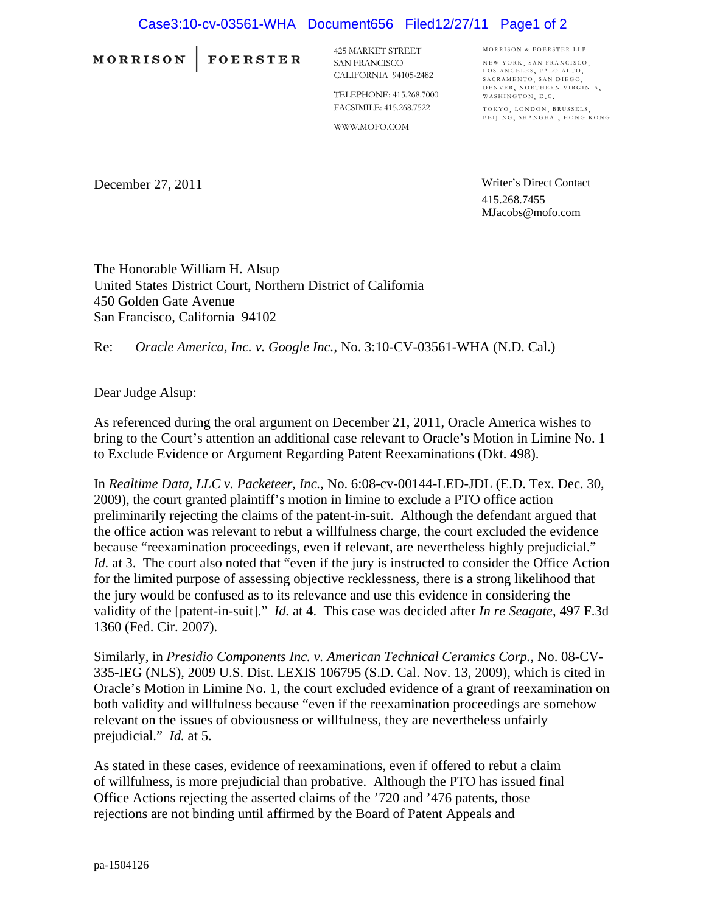## Case3:10-cv-03561-WHA Document656 Filed12/27/11 Page1 of 2

**MORRISON** 

FOERSTER

425 MARKET STREET SAN FRANCISCO CALIFORNIA 94105-2482

TELEPHONE: 415.268.7000 FACSIMILE: 415.268.7522

WWW.MOFO.COM

MORRISON & FOERSTER LLP NEW YORK SAN FRANCISCO LOS ANGELES, PALO ALTO,<br>SACRAMENTO, SAN DIEGO, DENVER, NORTHERN VIRGINIA, WASHINGTON, D.C.

TOKYO, LONDON, BRUSSELS, BEIJING, SHANGHAI, HONG KONG

December 27, 2011

Writer's Direct Contact 415.268.7455 MJacobs@mofo.com

The Honorable William H. Alsup United States District Court, Northern District of California 450 Golden Gate Avenue San Francisco, California 94102

Re: *Oracle America, Inc. v. Google Inc.*, No. 3:10-CV-03561-WHA (N.D. Cal.)

Dear Judge Alsup:

As referenced during the oral argument on December 21, 2011, Oracle America wishes to bring to the Court's attention an additional case relevant to Oracle's Motion in Limine No. 1 to Exclude Evidence or Argument Regarding Patent Reexaminations (Dkt. 498).

In *Realtime Data, LLC v. Packeteer, Inc.*, No. 6:08-cv-00144-LED-JDL (E.D. Tex. Dec. 30, 2009), the court granted plaintiff's motion in limine to exclude a PTO office action preliminarily rejecting the claims of the patent-in-suit. Although the defendant argued that the office action was relevant to rebut a willfulness charge, the court excluded the evidence because "reexamination proceedings, even if relevant, are nevertheless highly prejudicial." *Id.* at 3. The court also noted that "even if the jury is instructed to consider the Office Action for the limited purpose of assessing objective recklessness, there is a strong likelihood that the jury would be confused as to its relevance and use this evidence in considering the validity of the [patent-in-suit]." *Id.* at 4. This case was decided after *In re Seagate*, 497 F.3d 1360 (Fed. Cir. 2007).

Similarly, in *Presidio Components Inc. v. American Technical Ceramics Corp.*, No. 08-CV-335-IEG (NLS), 2009 U.S. Dist. LEXIS 106795 (S.D. Cal. Nov. 13, 2009), which is cited in Oracle's Motion in Limine No. 1, the court excluded evidence of a grant of reexamination on both validity and willfulness because "even if the reexamination proceedings are somehow relevant on the issues of obviousness or willfulness, they are nevertheless unfairly prejudicial." *Id.* at 5.

As stated in these cases, evidence of reexaminations, even if offered to rebut a claim of willfulness, is more prejudicial than probative. Although the PTO has issued final Office Actions rejecting the asserted claims of the '720 and '476 patents, those rejections are not binding until affirmed by the Board of Patent Appeals and